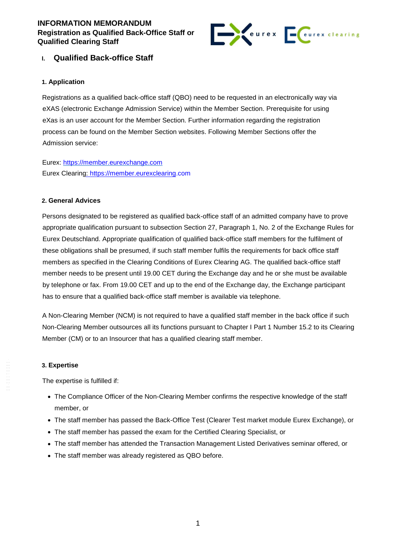## **INFORMATION MEMORANDUM Registration as Qualified Back-Office Staff or Qualified Clearing Staff**



## **I. Qualified Back-office Staff**

### **1. Application**

Registrations as a qualified back-office staff (QBO) need to be requested in an electronically way via eXAS (electronic Exchange Admission Service) within the Member Section. Prerequisite for using eXas is an user account for the Member Section. Further information regarding the registration process can be found on the Member Section websites. Following Member Sections offer the Admission service:

Eurex: https://member.eurexchange.com Eurex Clearing: https://member.eurexclearing.com

#### **2. General Advices**

Persons designated to be registered as qualified back-office staff of an admitted company have to prove appropriate qualification pursuant to subsection Section 27, Paragraph 1, No. 2 of the Exchange Rules for Eurex Deutschland. Appropriate qualification of qualified back-office staff members for the fulfilment of these obligations shall be presumed, if such staff member fulfils the requirements for back office staff members as specified in the Clearing Conditions of Eurex Clearing AG. The qualified back-office staff member needs to be present until 19.00 CET during the Exchange day and he or she must be available by telephone or fax. From 19.00 CET and up to the end of the Exchange day, the Exchange participant has to ensure that a qualified back-office staff member is available via telephone.

A Non-Clearing Member (NCM) is not required to have a qualified staff member in the back office if such Non-Clearing Member outsources all its functions pursuant to Chapter I Part 1 Number 15.2 to its Clearing Member (CM) or to an Insourcer that has a qualified clearing staff member.

#### **3. Expertise**

The expertise is fulfilled if:

- The Compliance Officer of the Non-Clearing Member confirms the respective knowledge of the staff member, or
- The staff member has passed the Back-Office Test (Clearer Test market module Eurex Exchange), or
- The staff member has passed the exam for the Certified Clearing Specialist, or
- The staff member has attended the Transaction Management Listed Derivatives seminar offered, or
- The staff member was already registered as QBO before.